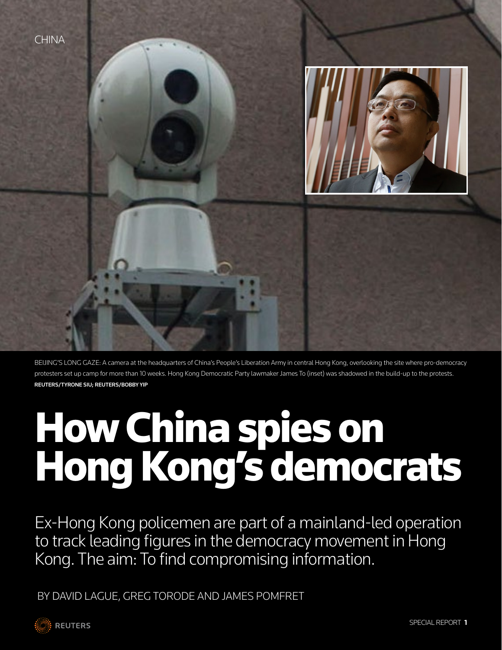

BEIJING'S LONG GAZE: A camera at the headquarters of China's People's Liberation Army in central Hong Kong, overlooking the site where pro-democracy protesters set up camp for more than 10 weeks. Hong Kong Democratic Party lawmaker James To (inset) was shadowed in the build-up to the protests. REUTERS/TYRONE SIU; REUTERS/BOBBY YIP

# How China spies on Hong Kong's democrats

Ex-Hong Kong policemen are part of a mainland-led operation to track leading figures in the democracy movement in Hong Kong. The aim: To find compromising information.

BY DAVID LAGUE, GREG TORODE AND JAMES POMFRET

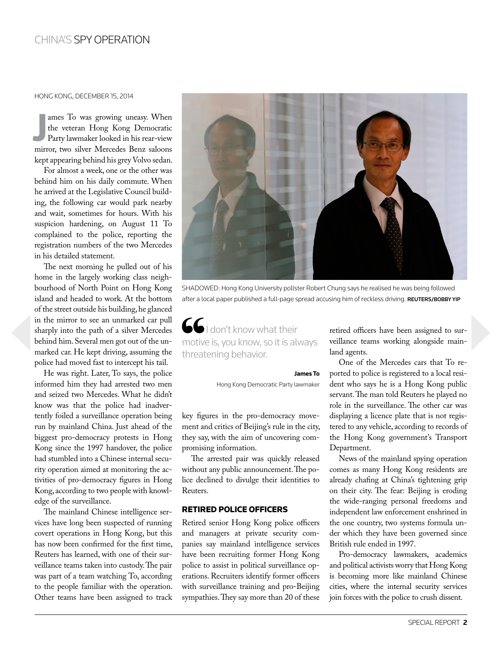### CHINA'S SPY OPERATION

### HONG KONG, DECEMBER 15, 2014

**1** ames To was growing uneasy. When the veteran Hong Kong Democratic Party lawmaker looked in his rear-view mirror, two silver Mercedes Benz saloons ames To was growing uneasy. When the veteran Hong Kong Democratic Party lawmaker looked in his rear-view kept appearing behind his grey Volvo sedan.

For almost a week, one or the other was behind him on his daily commute. When he arrived at the Legislative Council building, the following car would park nearby and wait, sometimes for hours. With his suspicion hardening, on August 11 To complained to the police, reporting the registration numbers of the two Mercedes in his detailed statement.

The next morning he pulled out of his home in the largely working class neighbourhood of North Point on Hong Kong island and headed to work. At the bottom of the street outside his building, he glanced in the mirror to see an unmarked car pull sharply into the path of a silver Mercedes behind him. Several men got out of the unmarked car. He kept driving, assuming the police had moved fast to intercept his tail.

He was right. Later, To says, the police informed him they had arrested two men and seized two Mercedes. What he didn't know was that the police had inadvertently foiled a surveillance operation being run by mainland China. Just ahead of the biggest pro-democracy protests in Hong Kong since the 1997 handover, the police had stumbled into a Chinese internal security operation aimed at monitoring the activities of pro-democracy figures in Hong Kong, according to two people with knowledge of the surveillance.

The mainland Chinese intelligence services have long been suspected of running covert operations in Hong Kong, but this has now been confirmed for the first time, Reuters has learned, with one of their surveillance teams taken into custody. The pair was part of a team watching To, according to the people familiar with the operation. Other teams have been assigned to track



SHADOWED: Hong Kong University pollster Robert Chung says he realised he was being followed after a local paper published a full-page spread accusing him of reckless driving. REUTERS/BOBBY YIP

**66** I don't know what their motive is, you know, so it is always threatening behavior.

#### **James To**

Hong Kong Democratic Party lawmaker

key figures in the pro-democracy movement and critics of Beijing's rule in the city, they say, with the aim of uncovering compromising information.

The arrested pair was quickly released without any public announcement. The police declined to divulge their identities to Reuters.

### RETIRED POLICE OFFICERS

Retired senior Hong Kong police officers and managers at private security companies say mainland intelligence services have been recruiting former Hong Kong police to assist in political surveillance operations. Recruiters identify former officers with surveillance training and pro-Beijing sympathies. They say more than 20 of these

retired officers have been assigned to surveillance teams working alongside mainland agents.

One of the Mercedes cars that To reported to police is registered to a local resident who says he is a Hong Kong public servant. The man told Reuters he played no role in the surveillance. The other car was displaying a licence plate that is not registered to any vehicle, according to records of the Hong Kong government's Transport Department.

News of the mainland spying operation comes as many Hong Kong residents are already chafing at China's tightening grip on their city. The fear: Beijing is eroding the wide-ranging personal freedoms and independent law enforcement enshrined in the one country, two systems formula under which they have been governed since British rule ended in 1997.

Pro-democracy lawmakers, academics and political activists worry that Hong Kong is becoming more like mainland Chinese cities, where the internal security services join forces with the police to crush dissent.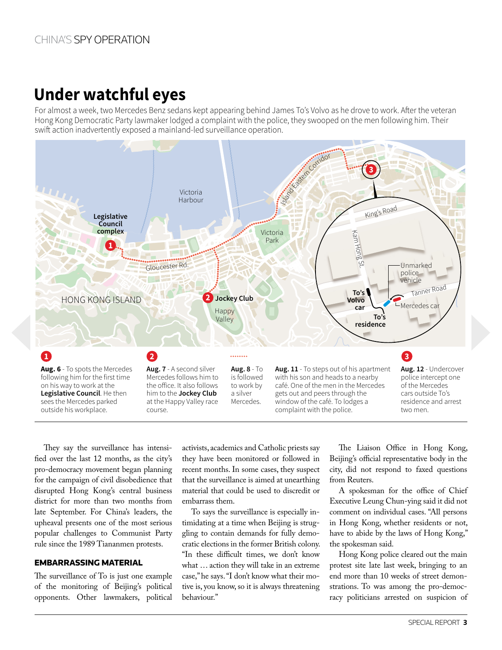### **Under watchful eyes**

For almost a week, two Mercedes Benz sedans kept appearing behind James To's Volvo as he drove to work. After the veteran Hong Kong Democratic Party lawmaker lodged a complaint with the police, they swooped on the men following him. Their swift action inadvertently exposed a mainland-led surveillance operation.



They say the surveillance has intensified over the last 12 months, as the city's pro-democracy movement began planning for the campaign of civil disobedience that disrupted Hong Kong's central business district for more than two months from late September. For China's leaders, the upheaval presents one of the most serious popular challenges to Communist Party rule since the 1989 Tiananmen protests.

### EMBARRASSING MATERIAL

The surveillance of To is just one example of the monitoring of Beijing's political opponents. Other lawmakers, political activists, academics and Catholic priests say they have been monitored or followed in recent months. In some cases, they suspect that the surveillance is aimed at unearthing material that could be used to discredit or embarrass them.

To says the surveillance is especially intimidating at a time when Beijing is struggling to contain demands for fully democratic elections in the former British colony. "In these difficult times, we don't know what … action they will take in an extreme case," he says. "I don't know what their motive is, you know, so it is always threatening behaviour."

The Liaison Office in Hong Kong, Beijing's official representative body in the city, did not respond to faxed questions from Reuters.

A spokesman for the office of Chief Executive Leung Chun-ying said it did not comment on individual cases. "All persons in Hong Kong, whether residents or not, have to abide by the laws of Hong Kong," the spokesman said.

Hong Kong police cleared out the main protest site late last week, bringing to an end more than 10 weeks of street demonstrations. To was among the pro-democracy politicians arrested on suspicion of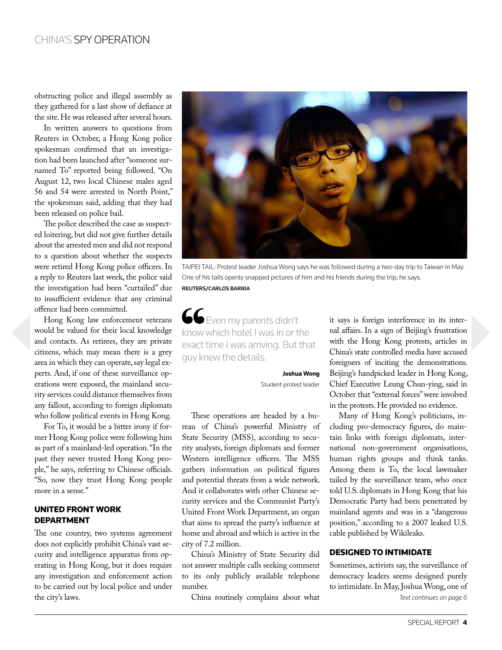obstructing police and illegal assembly as they gathered for a last show of defiance at the site. He was released after several hours.

In written answers to questions from Reuters in October, a Hong Kong police spokesman confirmed that an investigation had been launched after "someone surnamed To" reported being followed. "On August 12, two local Chinese males aged 56 and 54 were arrested in North Point," the spokesman said, adding that they had been released on police bail.

The police described the case as suspected loitering, but did not give further details about the arrested men and did not respond to a question about whether the suspects were retired Hong Kong police officers. In a reply to Reuters last week, the police said the investigation had been "curtailed" due to insufficient evidence that any criminal offence had been committed.

Hong Kong law enforcement veterans would be valued for their local knowledge and contacts. As retirees, they are private citizens, which may mean there is a grey area in which they can operate, say legal experts. And, if one of these surveillance operations were exposed, the mainland security services could distance themselves from any fallout, according to foreign diplomats who follow political events in Hong Kong.

For To, it would be a bitter irony if former Hong Kong police were following him as part of a mainland-led operation. "In the past they never trusted Hong Kong people," he says, referring to Chinese officials. "So, now they trust Hong Kong people more in a sense."

### UNITED FRONT WORK DEPARTMENT

The one country, two systems agreement does not explicitly prohibit China's vast security and intelligence apparatus from operating in Hong Kong, but it does require any investigation and enforcement action to be carried out by local police and under the city's laws.



TAIPEI TAIL: Protest leader Joshua Wong says he was followed during a two-day trip to Taiwan in May. One of his tails openly snapped pictures of him and his friends during the trip, he says. REUTERS/CARLOS BARRIA

 Even my parents didn't know which hotel I was in or the exact time I was arriving. But that guy knew the details.

**Joshua Wong**

Student protest leader

These operations are headed by a bureau of China's powerful Ministry of State Security (MSS), according to security analysts, foreign diplomats and former Western intelligence officers. The MSS gathers information on political figures and potential threats from a wide network. And it collaborates with other Chinese security services and the Communist Party's United Front Work Department, an organ that aims to spread the party's influence at home and abroad and which is active in the city of 7.2 million.

China's Ministry of State Security did not answer multiple calls seeking comment to its only publicly available telephone number.

China routinely complains about what

it says is foreign interference in its internal affairs. In a sign of Beijing's frustration with the Hong Kong protests, articles in China's state controlled media have accused foreigners of inciting the demonstrations. Beijing's handpicked leader in Hong Kong, Chief Executive Leung Chun-ying, said in October that "external forces" were involved in the protests. He provided no evidence.

Many of Hong Kong's politicians, including pro-democracy figures, do maintain links with foreign diplomats, international non-government organisations, human rights groups and think tanks. Among them is To, the local lawmaker tailed by the surveillance team, who once told U.S. diplomats in Hong Kong that his Democratic Party had been penetrated by mainland agents and was in a "dangerous position," according to a 2007 leaked U.S. cable published by Wikileaks.

### DESIGNED TO INTIMIDATE

Sometimes, activists say, the surveillance of democracy leaders seems designed purely to intimidate. In May, Joshua Wong, one of *Text continues on page 6*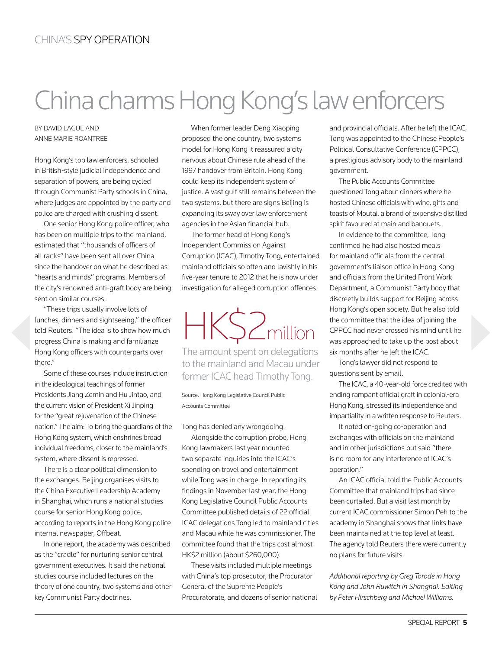## China charms Hong Kong's law enforcers

### BY DAVID LAGUE AND ANNE MARIE ROANTREE

Hong Kong's top law enforcers, schooled in British-style judicial independence and separation of powers, are being cycled through Communist Party schools in China, where judges are appointed by the party and police are charged with crushing dissent.

One senior Hong Kong police officer, who has been on multiple trips to the mainland, estimated that "thousands of officers of all ranks" have been sent all over China since the handover on what he described as "hearts and minds" programs. Members of the city's renowned anti-graft body are being sent on similar courses.

"These trips usually involve lots of lunches, dinners and sightseeing," the officer told Reuters. "The idea is to show how much progress China is making and familiarize Hong Kong officers with counterparts over there."

Some of these courses include instruction in the ideological teachings of former Presidents Jiang Zemin and Hu Jintao, and the current vision of President Xi Jinping for the "great rejuvenation of the Chinese nation." The aim: To bring the guardians of the Hong Kong system, which enshrines broad individual freedoms, closer to the mainland's system, where dissent is repressed.

There is a clear political dimension to the exchanges. Beijing organises visits to the China Executive Leadership Academy in Shanghai, which runs a national studies course for senior Hong Kong police, according to reports in the Hong Kong police internal newspaper, Offbeat.

In one report, the academy was described as the "cradle" for nurturing senior central government executives. It said the national studies course included lectures on the theory of one country, two systems and other key Communist Party doctrines.

When former leader Deng Xiaoping proposed the one country, two systems model for Hong Kong it reassured a city nervous about Chinese rule ahead of the 1997 handover from Britain. Hong Kong could keep its independent system of justice. A vast gulf still remains between the two systems, but there are signs Beijing is expanding its sway over law enforcement agencies in the Asian financial hub.

The former head of Hong Kong's Independent Commission Against Corruption (ICAC), Timothy Tong, entertained mainland officials so often and lavishly in his five-year tenure to 2012 that he is now under investigation for alleged corruption offences.

## HK\$2million

The amount spent on delegations to the mainland and Macau under former ICAC head Timothy Tong.

Source: Hong Kong Legislative Council Public Accounts Committee

Tong has denied any wrongdoing.

Alongside the corruption probe, Hong Kong lawmakers last year mounted two separate inquiries into the ICAC's spending on travel and entertainment while Tong was in charge. In reporting its findings in November last year, the Hong Kong Legislative Council Public Accounts Committee published details of 22 official ICAC delegations Tong led to mainland cities and Macau while he was commissioner. The committee found that the trips cost almost HK\$2 million (about \$260,000).

These visits included multiple meetings with China's top prosecutor, the Procurator General of the Supreme People's Procuratorate, and dozens of senior national and provincial officials. After he left the ICAC, Tong was appointed to the Chinese People's Political Consultative Conference (CPPCC), a prestigious advisory body to the mainland government.

The Public Accounts Committee questioned Tong about dinners where he hosted Chinese officials with wine, gifts and toasts of Moutai, a brand of expensive distilled spirit favoured at mainland banquets.

In evidence to the committee, Tong confirmed he had also hosted meals for mainland officials from the central government's liaison office in Hong Kong and officials from the United Front Work Department, a Communist Party body that discreetly builds support for Beijing across Hong Kong's open society. But he also told the committee that the idea of joining the CPPCC had never crossed his mind until he was approached to take up the post about six months after he left the ICAC.

Tong's lawyer did not respond to questions sent by email.

The ICAC, a 40-year-old force credited with ending rampant official graft in colonial-era Hong Kong, stressed its independence and impartiality in a written response to Reuters.

It noted on-going co-operation and exchanges with officials on the mainland and in other jurisdictions but said "there is no room for any interference of ICAC's operation."

An ICAC official told the Public Accounts Committee that mainland trips had since been curtailed. But a visit last month by current ICAC commissioner Simon Peh to the academy in Shanghai shows that links have been maintained at the top level at least. The agency told Reuters there were currently no plans for future visits.

*Additional reporting by Greg Torode in Hong Kong and John Ruwitch in Shanghai. Editing by Peter Hirschberg and Michael Williams.*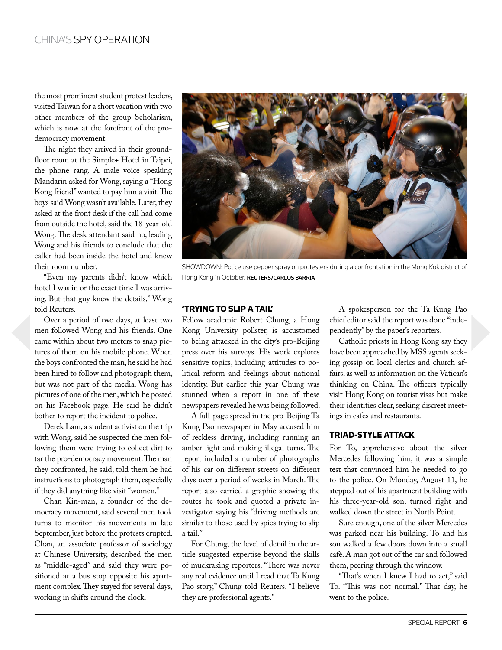### CHINA'S SPY OPERATION

the most prominent student protest leaders, visited Taiwan for a short vacation with two other members of the group Scholarism, which is now at the forefront of the prodemocracy movement.

The night they arrived in their groundfloor room at the Simple+ Hotel in Taipei, the phone rang. A male voice speaking Mandarin asked for Wong, saying a "Hong Kong friend" wanted to pay him a visit. The boys said Wong wasn't available. Later, they asked at the front desk if the call had come from outside the hotel, said the 18-year-old Wong. The desk attendant said no, leading Wong and his friends to conclude that the caller had been inside the hotel and knew their room number.

"Even my parents didn't know which hotel I was in or the exact time I was arriving. But that guy knew the details," Wong told Reuters.

Over a period of two days, at least two men followed Wong and his friends. One came within about two meters to snap pictures of them on his mobile phone. When the boys confronted the man, he said he had been hired to follow and photograph them, but was not part of the media. Wong has pictures of one of the men, which he posted on his Facebook page. He said he didn't bother to report the incident to police.

Derek Lam, a student activist on the trip with Wong, said he suspected the men following them were trying to collect dirt to tar the pro-democracy movement. The man they confronted, he said, told them he had instructions to photograph them, especially if they did anything like visit "women."

Chan Kin-man, a founder of the democracy movement, said several men took turns to monitor his movements in late September, just before the protests erupted. Chan, an associate professor of sociology at Chinese University, described the men as "middle-aged" and said they were positioned at a bus stop opposite his apartment complex. They stayed for several days, working in shifts around the clock.



SHOWDOWN: Police use pepper spray on protesters during a confrontation in the Mong Kok district of Hong Kong in October. REUTERS/CARLOS BARRIA

### 'TRYING TO SLIP A TAIL'

Fellow academic Robert Chung, a Hong Kong University pollster, is accustomed to being attacked in the city's pro-Beijing press over his surveys. His work explores sensitive topics, including attitudes to political reform and feelings about national identity. But earlier this year Chung was stunned when a report in one of these newspapers revealed he was being followed.

A full-page spread in the pro-Beijing Ta Kung Pao newspaper in May accused him of reckless driving, including running an amber light and making illegal turns. The report included a number of photographs of his car on different streets on different days over a period of weeks in March. The report also carried a graphic showing the routes he took and quoted a private investigator saying his "driving methods are similar to those used by spies trying to slip a tail."

For Chung, the level of detail in the article suggested expertise beyond the skills of muckraking reporters. "There was never any real evidence until I read that Ta Kung Pao story," Chung told Reuters. "I believe they are professional agents."

A spokesperson for the Ta Kung Pao chief editor said the report was done "independently" by the paper's reporters.

Catholic priests in Hong Kong say they have been approached by MSS agents seeking gossip on local clerics and church affairs, as well as information on the Vatican's thinking on China. The officers typically visit Hong Kong on tourist visas but make their identities clear, seeking discreet meetings in cafes and restaurants.

### TRIAD-STYLE ATTACK

For To, apprehensive about the silver Mercedes following him, it was a simple test that convinced him he needed to go to the police. On Monday, August 11, he stepped out of his apartment building with his three-year-old son, turned right and walked down the street in North Point.

Sure enough, one of the silver Mercedes was parked near his building. To and his son walked a few doors down into a small café. A man got out of the car and followed them, peering through the window.

"That's when I knew I had to act," said To. "This was not normal." That day, he went to the police.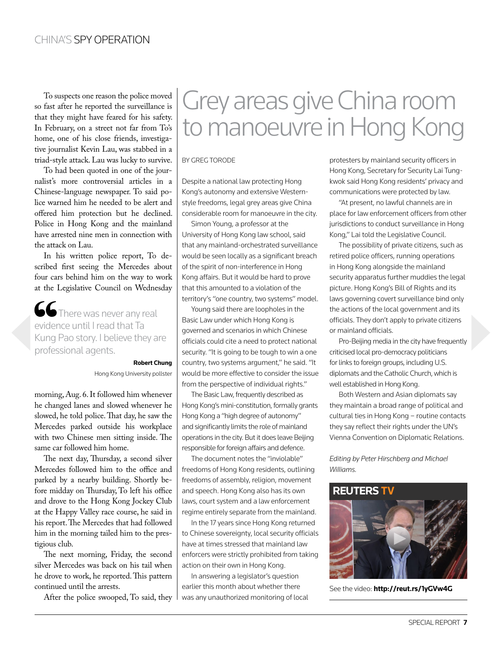To suspects one reason the police moved so fast after he reported the surveillance is that they might have feared for his safety. In February, on a street not far from To's home, one of his close friends, investigative journalist Kevin Lau, was stabbed in a triad-style attack. Lau was lucky to survive.

To had been quoted in one of the journalist's more controversial articles in a Chinese-language newspaper. To said police warned him he needed to be alert and offered him protection but he declined. Police in Hong Kong and the mainland have arrested nine men in connection with the attack on Lau.

In his written police report, To described first seeing the Mercedes about four cars behind him on the way to work at the Legislative Council on Wednesday

**C** There was never any real evidence until I read that Ta Kung Pao story. I believe they are professional agents.

#### **Robert Chung**

Hong Kong University pollster

morning, Aug. 6. It followed him whenever he changed lanes and slowed whenever he slowed, he told police. That day, he saw the Mercedes parked outside his workplace with two Chinese men sitting inside. The same car followed him home.

The next day, Thursday, a second silver Mercedes followed him to the office and parked by a nearby building. Shortly before midday on Thursday, To left his office and drove to the Hong Kong Jockey Club at the Happy Valley race course, he said in his report. The Mercedes that had followed him in the morning tailed him to the prestigious club.

The next morning, Friday, the second silver Mercedes was back on his tail when he drove to work, he reported. This pattern continued until the arrests.

After the police swooped, To said, they

### Grey areas give China room to manoeuvre in Hong Kong

### BY GREG TORODE

Despite a national law protecting Hong Kong's autonomy and extensive Westernstyle freedoms, legal grey areas give China considerable room for manoeuvre in the city.

Simon Young, a professor at the University of Hong Kong law school, said that any mainland-orchestrated surveillance would be seen locally as a significant breach of the spirit of non-interference in Hong Kong affairs. But it would be hard to prove that this amounted to a violation of the territory's "one country, two systems" model.

Young said there are loopholes in the Basic Law under which Hong Kong is governed and scenarios in which Chinese officials could cite a need to protect national security. "It is going to be tough to win a one country, two systems argument," he said. "It would be more effective to consider the issue from the perspective of individual rights."

The Basic Law, frequently described as Hong Kong's mini-constitution, formally grants Hong Kong a "high degree of autonomy" and significantly limits the role of mainland operations in the city. But it does leave Beijing responsible for foreign affairs and defence.

The document notes the "inviolable" freedoms of Hong Kong residents, outlining freedoms of assembly, religion, movement and speech. Hong Kong also has its own laws, court system and a law enforcement regime entirely separate from the mainland.

In the 17 years since Hong Kong returned to Chinese sovereignty, local security officials have at times stressed that mainland law enforcers were strictly prohibited from taking action on their own in Hong Kong.

In answering a legislator's question earlier this month about whether there was any unauthorized monitoring of local protesters by mainland security officers in Hong Kong, Secretary for Security Lai Tungkwok said Hong Kong residents' privacy and communications were protected by law.

"At present, no lawful channels are in place for law enforcement officers from other jurisdictions to conduct surveillance in Hong Kong," Lai told the Legislative Council.

The possibility of private citizens, such as retired police officers, running operations in Hong Kong alongside the mainland security apparatus further muddies the legal picture. Hong Kong's Bill of Rights and its laws governing covert surveillance bind only the actions of the local government and its officials. They don't apply to private citizens or mainland officials.

Pro-Beijing media in the city have frequently criticised local pro-democracy politicians for links to foreign groups, including U.S. diplomats and the Catholic Church, which is well established in Hong Kong.

Both Western and Asian diplomats say they maintain a broad range of political and cultural ties in Hong Kong – routine contacts they say reflect their rights under the UN's Vienna Convention on Diplomatic Relations.

*Editing by Peter Hirschberg and Michael Williams.*



See the video: **http://reut.rs/1yGVw4G**